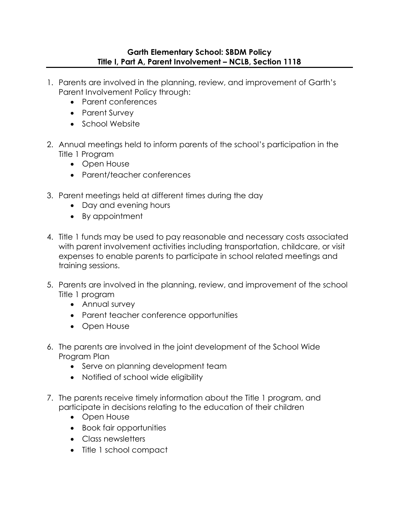## **Garth Elementary School: SBDM Policy Title I, Part A, Parent Involvement – NCLB, Section 1118**

- 1. Parents are involved in the planning, review, and improvement of Garth's Parent Involvement Policy through:
	- Parent conferences
	- Parent Survey
	- School Website
- 2. Annual meetings held to inform parents of the school's participation in the Title 1 Program
	- Open House
	- Parent/teacher conferences
- 3. Parent meetings held at different times during the day
	- Day and evening hours
	- By appointment
- 4. Title 1 funds may be used to pay reasonable and necessary costs associated with parent involvement activities including transportation, childcare, or visit expenses to enable parents to participate in school related meetings and training sessions.
- 5. Parents are involved in the planning, review, and improvement of the school Title 1 program
	- Annual survey
	- Parent teacher conference opportunities
	- Open House
- 6. The parents are involved in the joint development of the School Wide Program Plan
	- Serve on planning development team
	- Notified of school wide eligibility
- 7. The parents receive timely information about the Title 1 program, and participate in decisions relating to the education of their children
	- Open House
	- Book fair opportunities
	- Class newsletters
	- Title 1 school compact